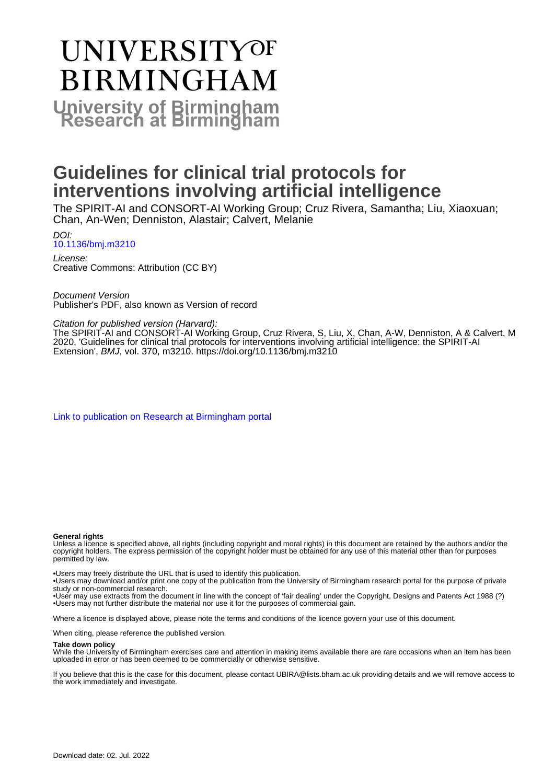# **UNIVERSITYOF BIRMINGHAM University of Birmingham**

# **Guidelines for clinical trial protocols for interventions involving artificial intelligence**

The SPIRIT-AI and CONSORT-AI Working Group; Cruz Rivera, Samantha; Liu, Xiaoxuan; Chan, An-Wen; Denniston, Alastair; Calvert, Melanie

DOI: [10.1136/bmj.m3210](https://doi.org/10.1136/bmj.m3210)

License: Creative Commons: Attribution (CC BY)

Document Version Publisher's PDF, also known as Version of record

#### Citation for published version (Harvard):

The SPIRIT-AI and CONSORT-AI Working Group, Cruz Rivera, S, Liu, X, Chan, A-W, Denniston, A & Calvert, M 2020, 'Guidelines for clinical trial protocols for interventions involving artificial intelligence: the SPIRIT-AI Extension', BMJ, vol. 370, m3210. <https://doi.org/10.1136/bmj.m3210>

[Link to publication on Research at Birmingham portal](https://birmingham.elsevierpure.com/en/publications/1dbfa085-3c38-44f9-b61b-1cec097234d5)

#### **General rights**

Unless a licence is specified above, all rights (including copyright and moral rights) in this document are retained by the authors and/or the copyright holders. The express permission of the copyright holder must be obtained for any use of this material other than for purposes permitted by law.

• Users may freely distribute the URL that is used to identify this publication.

• Users may download and/or print one copy of the publication from the University of Birmingham research portal for the purpose of private study or non-commercial research.

• User may use extracts from the document in line with the concept of 'fair dealing' under the Copyright, Designs and Patents Act 1988 (?) • Users may not further distribute the material nor use it for the purposes of commercial gain.

Where a licence is displayed above, please note the terms and conditions of the licence govern your use of this document.

When citing, please reference the published version.

#### **Take down policy**

While the University of Birmingham exercises care and attention in making items available there are rare occasions when an item has been uploaded in error or has been deemed to be commercially or otherwise sensitive.

If you believe that this is the case for this document, please contact UBIRA@lists.bham.ac.uk providing details and we will remove access to the work immediately and investigate.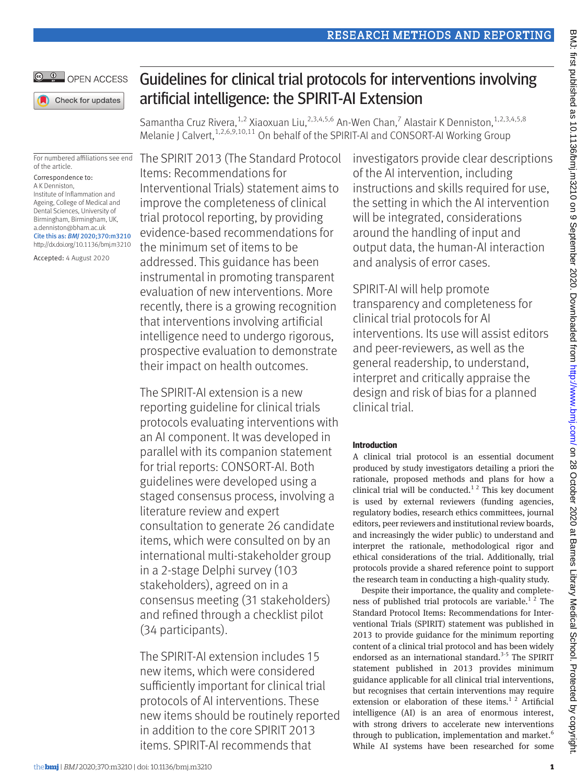

# Guidelines for clinical trial protocols for interventions involving artificial intelligence: the SPIRIT-AI Extension

Samantha Cruz Rivera,  $^{1,2}$  Xiaoxuan Liu,  $^{2,3,4,5,6}$  An-Wen Chan, $^7$  Alastair K Denniston,  $^{1,2,3,4,5,8}$ Melanie J Calvert,<sup>1,2,6,9,10,11</sup> On behalf of the SPIRIT-AI and CONSORT-AI Working Group

For numbered affiliations see end of the article.

Correspondence to: A K Denniston, Institute of Inflammation and Ageing, College of Medical and Dental Sciences, University of Birmingham, Birmingham, UK, [a.denniston@bham.ac.uk](mailto:a.denniston@bham.ac.uk) Cite this as: *BMJ* 2020;370:m3210

http://dx.doi.org/10.1136/bmj.m3210

Accepted: 4 August 2020

The SPIRIT 2013 (The Standard Protocol Items: Recommendations for Interventional Trials) statement aims to improve the completeness of clinical trial protocol reporting, by providing evidence-based recommendations for the minimum set of items to be addressed. This guidance has been instrumental in promoting transparent evaluation of new interventions. More recently, there is a growing recognition that interventions involving artificial intelligence need to undergo rigorous, prospective evaluation to demonstrate their impact on health outcomes.

The SPIRIT-AI extension is a new reporting guideline for clinical trials protocols evaluating interventions with an AI component. It was developed in parallel with its companion statement for trial reports: CONSORT-AI. Both guidelines were developed using a staged consensus process, involving a literature review and expert consultation to generate 26 candidate items, which were consulted on by an international multi-stakeholder group in a 2-stage Delphi survey (103 stakeholders), agreed on in a consensus meeting (31 stakeholders) and refined through a checklist pilot (34 participants).

The SPIRIT-AI extension includes 15 new items, which were considered sufficiently important for clinical trial protocols of AI interventions. These new items should be routinely reported in addition to the core SPIRIT 2013 items. SPIRIT-AI recommends that

investigators provide clear descriptions of the AI intervention, including instructions and skills required for use, the setting in which the AI intervention will be integrated, considerations around the handling of input and output data, the human-AI interaction and analysis of error cases.

SPIRIT-AI will help promote transparency and completeness for clinical trial protocols for AI interventions. Its use will assist editors and peer-reviewers, as well as the general readership, to understand, interpret and critically appraise the design and risk of bias for a planned clinical trial.

### **Introduction**

A clinical trial protocol is an essential document produced by study investigators detailing a priori the rationale, proposed methods and plans for how a clinical trial will be conducted.<sup>12</sup> This key document is used by external reviewers (funding agencies, regulatory bodies, research ethics committees, journal editors, peer reviewers and institutional review boards, and increasingly the wider public) to understand and interpret the rationale, methodological rigor and ethical considerations of the trial. Additionally, trial protocols provide a shared reference point to support the research team in conducting a high-quality study.

Despite their importance, the quality and completeness of published trial protocols are variable.<sup>12</sup> The Standard Protocol Items: Recommendations for Interventional Trials (SPIRIT) statement was published in 2013 to provide guidance for the minimum reporting content of a clinical trial protocol and has been widely endorsed as an international standard.<sup>3-5</sup> The SPIRIT statement published in 2013 provides minimum guidance applicable for all clinical trial interventions, but recognises that certain interventions may require extension or elaboration of these items.<sup>12</sup> Artificial intelligence (AI) is an area of enormous interest, with strong drivers to accelerate new interventions through to publication, implementation and market.<sup>6</sup> While AI systems have been researched for some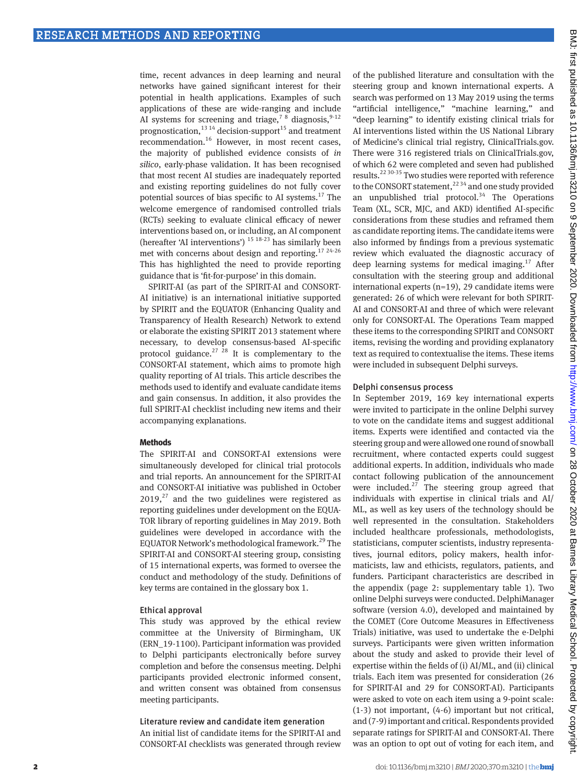time, recent advances in deep learning and neural networks have gained significant interest for their potential in health applications. Examples of such applications of these are wide-ranging and include AI systems for screening and triage,<sup>7 8</sup> diagnosis,<sup>9-12</sup> prognostication,<sup>13 14</sup> decision-support<sup>15</sup> and treatment recommendation.16 However, in most recent cases, the majority of published evidence consists of *in silico*, early-phase validation. It has been recognised that most recent AI studies are inadequately reported and existing reporting guidelines do not fully cover potential sources of bias specific to AI systems. $^{17}$  The welcome emergence of randomised controlled trials (RCTs) seeking to evaluate clinical efficacy of newer interventions based on, or including, an AI component (hereafter 'AI interventions') 15 18-23 has similarly been met with concerns about design and reporting.<sup>17 24-26</sup> This has highlighted the need to provide reporting guidance that is 'fit-for-purpose' in this domain.

SPIRIT-AI (as part of the SPIRIT-AI and CONSORT-AI initiative) is an international initiative supported by SPIRIT and the EQUATOR (Enhancing Quality and Transparency of Health Research) Network to extend or elaborate the existing SPIRIT 2013 statement where necessary, to develop consensus-based AI-specific protocol guidance.<sup>27 28</sup> It is complementary to the CONSORT-AI statement, which aims to promote high quality reporting of AI trials. This article describes the methods used to identify and evaluate candidate items and gain consensus. In addition, it also provides the full SPIRIT-AI checklist including new items and their accompanying explanations.

#### **Methods**

The SPIRIT-AI and CONSORT-AI extensions were simultaneously developed for clinical trial protocols and trial reports. An announcement for the SPIRIT-AI and CONSORT-AI initiative was published in October  $2019<sub>1</sub><sup>27</sup>$  and the two guidelines were registered as reporting guidelines under development on the EQUA-TOR library of reporting guidelines in May 2019. Both guidelines were developed in accordance with the EQUATOR Network's methodological framework.29 The SPIRIT-AI and CONSORT-AI steering group, consisting of 15 international experts, was formed to oversee the conduct and methodology of the study. Definitions of key terms are contained in the glossary box 1.

#### Ethical approval

This study was approved by the ethical review committee at the University of Birmingham, UK (ERN\_19-1100). Participant information was provided to Delphi participants electronically before survey completion and before the consensus meeting. Delphi participants provided electronic informed consent, and written consent was obtained from consensus meeting participants.

#### Literature review and candidate item generation

An initial list of candidate items for the SPIRIT-AI and CONSORT-AI checklists was generated through review of the published literature and consultation with the steering group and known international experts. A search was performed on 13 May 2019 using the terms "artificial intelligence," "machine learning," and "deep learning" to identify existing clinical trials for AI interventions listed within the US National Library of Medicine's clinical trial registry, ClinicalTrials.gov. There were 316 registered trials on ClinicalTrials.gov, of which 62 were completed and seven had published results.22 30-35 Two studies were reported with reference to the CONSORT statement,  $2234$  and one study provided an unpublished trial protocol.<sup>34</sup> The Operations Team (XL, SCR, MJC, and AKD) identified AI-specific considerations from these studies and reframed them as candidate reporting items. The candidate items were also informed by findings from a previous systematic review which evaluated the diagnostic accuracy of deep learning systems for medical imaging.<sup>17</sup> After consultation with the steering group and additional international experts (n=19), 29 candidate items were generated: 26 of which were relevant for both SPIRIT-AI and CONSORT-AI and three of which were relevant only for CONSORT-AI. The Operations Team mapped these items to the corresponding SPIRIT and CONSORT items, revising the wording and providing explanatory text as required to contextualise the items. These items were included in subsequent Delphi surveys.

#### Delphi consensus process

In September 2019, 169 key international experts were invited to participate in the online Delphi survey to vote on the candidate items and suggest additional items. Experts were identified and contacted via the steering group and were allowed one round of snowball recruitment, where contacted experts could suggest additional experts. In addition, individuals who made contact following publication of the announcement were included. $27$  The steering group agreed that individuals with expertise in clinical trials and AI/ ML, as well as key users of the technology should be well represented in the consultation. Stakeholders included healthcare professionals, methodologists, statisticians, computer scientists, industry representatives, journal editors, policy makers, health informaticists, law and ethicists, regulators, patients, and funders. Participant characteristics are described in the appendix (page 2: supplementary table 1). Two online Delphi surveys were conducted. DelphiManager software (version 4.0), developed and maintained by the COMET (Core Outcome Measures in Effectiveness Trials) initiative, was used to undertake the e-Delphi surveys. Participants were given written information about the study and asked to provide their level of expertise within the fields of (i) AI/ML, and (ii) clinical trials. Each item was presented for consideration (26 for SPIRIT-AI and 29 for CONSORT-AI). Participants were asked to vote on each item using a 9-point scale: (1-3) not important, (4-6) important but not critical, and (7-9) important and critical. Respondents provided separate ratings for SPIRIT-AI and CONSORT-AI. There was an option to opt out of voting for each item, and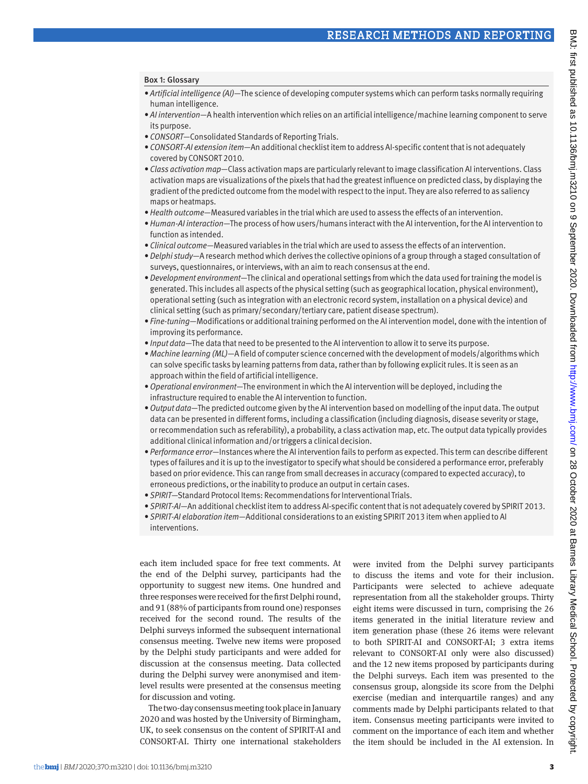#### Box 1: Glossary

- *• Artificial intelligence (AI)*—The science of developing computer systems which can perform tasks normally requiring human intelligence.
- *• AI intervention*—A health intervention which relies on an artificial intelligence/machine learning component to serve its purpose.
- *• CONSORT*—Consolidated Standards of Reporting Trials.
- *• CONSORT-AI extension item*—An additional checklist item to address AI-specific content that is not adequately covered by CONSORT 2010.
- *• Class activation map*—Class activation maps are particularly relevant to image classification AI interventions. Class activation maps are visualizations of the pixels that had the greatest influence on predicted class, by displaying the gradient of the predicted outcome from the model with respect to the input. They are also referred to as saliency maps or heatmaps.
- *• Health outcome*—Measured variables in the trial which are used to assess the effects of an intervention.
- *• Human-AI interaction*—The process of how users/humans interact with the AI intervention, for the AI intervention to function as intended.
- *• Clinical outcome*—Measured variables in the trial which are used to assess the effects of an intervention.
- *• Delphi study*—A research method which derives the collective opinions of a group through a staged consultation of surveys, questionnaires, or interviews, with an aim to reach consensus at the end.
- *• Development environment*—The clinical and operational settings from which the data used for training the model is generated. This includes all aspects of the physical setting (such as geographical location, physical environment), operational setting (such as integration with an electronic record system, installation on a physical device) and clinical setting (such as primary/secondary/tertiary care, patient disease spectrum).
- *• Fine-tuning*—Modifications or additional training performed on the AI intervention model, done with the intention of improving its performance.
- *• Input data*—The data that need to be presented to the AI intervention to allow it to serve its purpose.
- *• Machine learning (ML)*—A field of computer science concerned with the development of models/algorithms which can solve specific tasks by learning patterns from data, rather than by following explicit rules. It is seen as an approach within the field of artificial intelligence.
- *• Operational environment*—The environment in which the AI intervention will be deployed, including the infrastructure required to enable the AI intervention to function.
- *• Output data*—The predicted outcome given by the AI intervention based on modelling of the input data. The output data can be presented in different forms, including a classification (including diagnosis, disease severity or stage, or recommendation such as referability), a probability, a class activation map, etc. The output data typically provides additional clinical information and/or triggers a clinical decision.
- *• Performance error*—Instances where the AI intervention fails to perform as expected. This term can describe different types of failures and it is up to the investigator to specify what should be considered a performance error, preferably based on prior evidence. This can range from small decreases in accuracy (compared to expected accuracy), to erroneous predictions, or the inability to produce an output in certain cases.
- *• SPIRIT*—Standard Protocol Items: Recommendations for Interventional Trials.
- *• SPIRIT-AI*—An additional checklist item to address AI-specific content that is not adequately covered by SPIRIT 2013.
- *• SPIRIT-AI elaboration item*—Additional considerations to an existing SPIRIT 2013 item when applied to AI interventions.

each item included space for free text comments. At the end of the Delphi survey, participants had the opportunity to suggest new items. One hundred and three responses were received for the first Delphi round, and 91 (88% of participants from round one) responses received for the second round. The results of the Delphi surveys informed the subsequent international consensus meeting. Twelve new items were proposed by the Delphi study participants and were added for discussion at the consensus meeting. Data collected during the Delphi survey were anonymised and itemlevel results were presented at the consensus meeting for discussion and voting.

The two-day consensus meeting took place in January 2020 and was hosted by the University of Birmingham, UK, to seek consensus on the content of SPIRIT-AI and CONSORT-AI. Thirty one international stakeholders were invited from the Delphi survey participants to discuss the items and vote for their inclusion. Participants were selected to achieve adequate representation from all the stakeholder groups. Thirty eight items were discussed in turn, comprising the 26 items generated in the initial literature review and item generation phase (these 26 items were relevant to both SPIRIT-AI and CONSORT-AI; 3 extra items relevant to CONSORT-AI only were also discussed) and the 12 new items proposed by participants during the Delphi surveys. Each item was presented to the consensus group, alongside its score from the Delphi exercise (median and interquartile ranges) and any comments made by Delphi participants related to that item. Consensus meeting participants were invited to comment on the importance of each item and whether the item should be included in the AI extension. In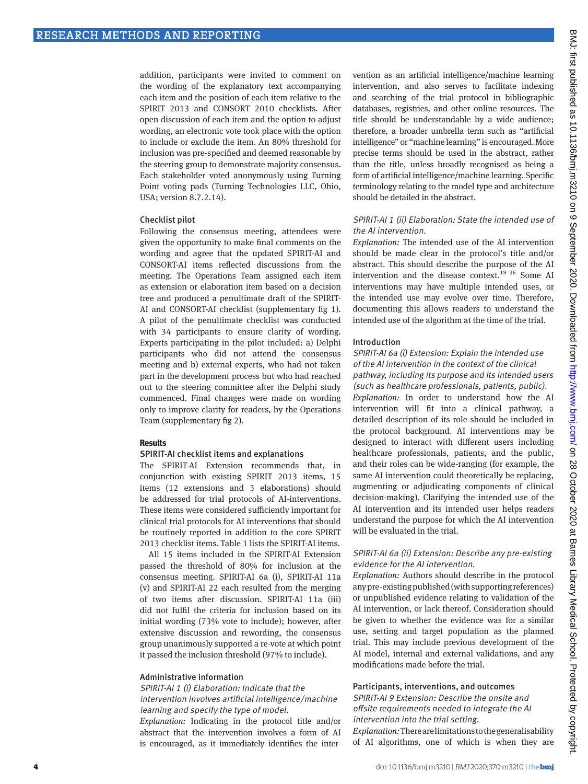addition, participants were invited to comment on the wording of the explanatory text accompanying each item and the position of each item relative to the SPIRIT 2013 and CONSORT 2010 checklists. After open discussion of each item and the option to adjust wording, an electronic vote took place with the option to include or exclude the item. An 80% threshold for inclusion was pre-specified and deemed reasonable by the steering group to demonstrate majority consensus. Each stakeholder voted anonymously using Turning Point voting pads (Turning Technologies LLC, Ohio, USA; version 8.7.2.14).

#### Checklist pilot

Following the consensus meeting, attendees were given the opportunity to make final comments on the wording and agree that the updated SPIRIT-AI and CONSORT-AI items reflected discussions from the meeting. The Operations Team assigned each item as extension or elaboration item based on a decision tree and produced a penultimate draft of the SPIRIT-AI and CONSORT-AI checklist (supplementary fig 1). A pilot of the penultimate checklist was conducted with 34 participants to ensure clarity of wording. Experts participating in the pilot included: a) Delphi participants who did not attend the consensus meeting and b) external experts, who had not taken part in the development process but who had reached out to the steering committee after the Delphi study commenced. Final changes were made on wording only to improve clarity for readers, by the Operations Team (supplementary fig 2).

#### **Results**

#### SPIRIT-AI checklist items and explanations

The SPIRIT-AI Extension recommends that, in conjunction with existing SPIRIT 2013 items, 15 items (12 extensions and 3 elaborations) should be addressed for trial protocols of AI-interventions. These items were considered sufficiently important for clinical trial protocols for AI interventions that should be routinely reported in addition to the core SPIRIT 2013 checklist items. Table 1 lists the SPIRIT-AI items.

All 15 items included in the SPIRIT-AI Extension passed the threshold of 80% for inclusion at the consensus meeting. SPIRIT-AI 6a (i), SPIRIT-AI 11a (v) and SPIRIT-AI 22 each resulted from the merging of two items after discussion. SPIRIT-AI 11a (iii) did not fulfil the criteria for inclusion based on its initial wording (73% vote to include); however, after extensive discussion and rewording, the consensus group unanimously supported a re-vote at which point it passed the inclusion threshold (97% to include).

#### Administrative information

#### SPIRIT-AI 1 (i) Elaboration: Indicate that the intervention involves artificial intelligence/machine learning and specify the type of model.

*Explanation:* Indicating in the protocol title and/or abstract that the intervention involves a form of AI is encouraged, as it immediately identifies the intervention as an artificial intelligence/machine learning intervention, and also serves to facilitate indexing and searching of the trial protocol in bibliographic databases, registries, and other online resources. The title should be understandable by a wide audience; therefore, a broader umbrella term such as "artificial intelligence" or "machine learning" is encouraged. More precise terms should be used in the abstract, rather than the title, unless broadly recognised as being a form of artificial intelligence/machine learning. Specific terminology relating to the model type and architecture should be detailed in the abstract.

#### SPIRIT-AI 1 (ii) Elaboration: State the intended use of the AI intervention.

*Explanation:* The intended use of the AI intervention should be made clear in the protocol's title and/or abstract. This should describe the purpose of the AI intervention and the disease context.19 36 Some AI interventions may have multiple intended uses, or the intended use may evolve over time. Therefore, documenting this allows readers to understand the intended use of the algorithm at the time of the trial.

#### Introduction

#### SPIRIT-AI 6a (i) Extension: Explain the intended use of the AI intervention in the context of the clinical pathway, including its purpose and its intended users (such as healthcare professionals, patients, public).

*Explanation:* In order to understand how the AI intervention will fit into a clinical pathway, a detailed description of its role should be included in the protocol background. AI interventions may be designed to interact with different users including healthcare professionals, patients, and the public, and their roles can be wide-ranging (for example, the same AI intervention could theoretically be replacing, augmenting or adjudicating components of clinical decision-making). Clarifying the intended use of the AI intervention and its intended user helps readers understand the purpose for which the AI intervention will be evaluated in the trial.

#### SPIRIT-AI 6a (ii) Extension: Describe any pre-existing evidence for the AI intervention.

*Explanation:* Authors should describe in the protocol any pre-existing published (with supporting references) or unpublished evidence relating to validation of the AI intervention, or lack thereof. Consideration should be given to whether the evidence was for a similar use, setting and target population as the planned trial. This may include previous development of the AI model, internal and external validations, and any modifications made before the trial.

#### Participants, interventions, and outcomes

SPIRIT-AI 9 Extension: Describe the onsite and offsite requirements needed to integrate the AI intervention into the trial setting.

*Explanation:* There are limitations to the generalisability of AI algorithms, one of which is when they are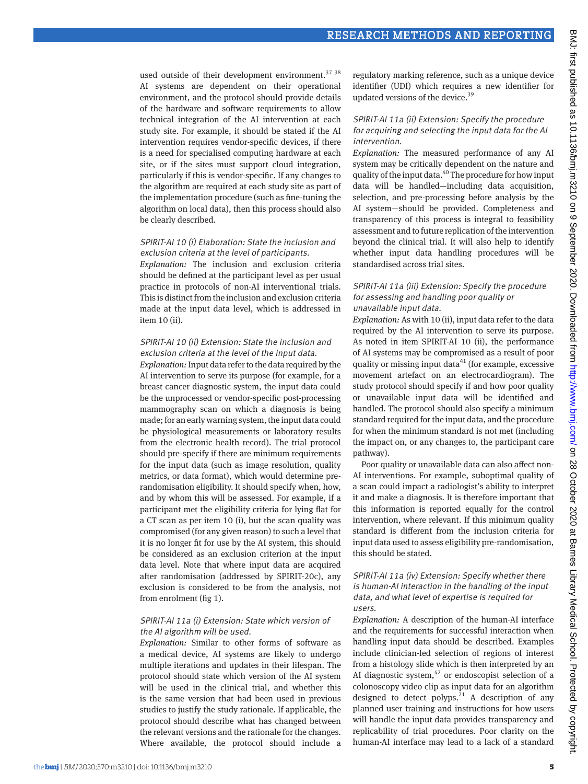used outside of their development environment.<sup>37</sup> <sup>38</sup> AI systems are dependent on their operational environment, and the protocol should provide details of the hardware and software requirements to allow technical integration of the AI intervention at each study site. For example, it should be stated if the AI intervention requires vendor-specific devices, if there is a need for specialised computing hardware at each site, or if the sites must support cloud integration, particularly if this is vendor-specific. If any changes to the algorithm are required at each study site as part of the implementation procedure (such as fine-tuning the algorithm on local data), then this process should also be clearly described.

#### SPIRIT-AI 10 (i) Elaboration: State the inclusion and exclusion criteria at the level of participants.

*Explanation:* The inclusion and exclusion criteria should be defined at the participant level as per usual practice in protocols of non-AI interventional trials. This is distinct from the inclusion and exclusion criteria made at the input data level, which is addressed in item 10 (ii).

#### SPIRIT-AI 10 (ii) Extension: State the inclusion and exclusion criteria at the level of the input data.

*Explanation:* Input data refer to the data required by the AI intervention to serve its purpose (for example, for a breast cancer diagnostic system, the input data could be the unprocessed or vendor-specific post-processing mammography scan on which a diagnosis is being made; for an early warning system, the input data could be physiological measurements or laboratory results from the electronic health record). The trial protocol should pre-specify if there are minimum requirements for the input data (such as image resolution, quality metrics, or data format), which would determine prerandomisation eligibility. It should specify when, how, and by whom this will be assessed. For example, if a participant met the eligibility criteria for lying flat for a CT scan as per item 10 (i), but the scan quality was compromised (for any given reason) to such a level that it is no longer fit for use by the AI system, this should be considered as an exclusion criterion at the input data level. Note that where input data are acquired after randomisation (addressed by SPIRIT-20c), any exclusion is considered to be from the analysis, not from enrolment (fig 1).

#### SPIRIT-AI 11a (i) Extension: State which version of the AI algorithm will be used.

*Explanation:* Similar to other forms of software as a medical device, AI systems are likely to undergo multiple iterations and updates in their lifespan. The protocol should state which version of the AI system will be used in the clinical trial, and whether this is the same version that had been used in previous studies to justify the study rationale. If applicable, the protocol should describe what has changed between the relevant versions and the rationale for the changes. Where available, the protocol should include a

regulatory marking reference, such as a unique device identifier (UDI) which requires a new identifier for updated versions of the device.<sup>39</sup>

#### SPIRIT-AI 11a (ii) Extension: Specify the procedure for acquiring and selecting the input data for the AI intervention.

*Explanation:* The measured performance of any AI system may be critically dependent on the nature and quality of the input data.40 The procedure for how input data will be handled—including data acquisition, selection, and pre-processing before analysis by the AI system—should be provided. Completeness and transparency of this process is integral to feasibility assessment and to future replication of the intervention beyond the clinical trial. It will also help to identify whether input data handling procedures will be standardised across trial sites.

#### SPIRIT-AI 11a (iii) Extension: Specify the procedure for assessing and handling poor quality or unavailable input data.

*Explanation:* As with 10 (ii), input data refer to the data required by the AI intervention to serve its purpose. As noted in item SPIRIT-AI 10 (ii), the performance of AI systems may be compromised as a result of poor quality or missing input data $41$  (for example, excessive movement artefact on an electrocardiogram). The study protocol should specify if and how poor quality or unavailable input data will be identified and handled. The protocol should also specify a minimum standard required for the input data, and the procedure for when the minimum standard is not met (including the impact on, or any changes to, the participant care pathway).

Poor quality or unavailable data can also affect non-AI interventions. For example, suboptimal quality of a scan could impact a radiologist's ability to interpret it and make a diagnosis. It is therefore important that this information is reported equally for the control intervention, where relevant. If this minimum quality standard is different from the inclusion criteria for input data used to assess eligibility pre-randomisation, this should be stated.

#### SPIRIT-AI 11a (iv) Extension: Specify whether there is human-AI interaction in the handling of the input data, and what level of expertise is required for users.

*Explanation:* A description of the human-AI interface and the requirements for successful interaction when handling input data should be described. Examples include clinician-led selection of regions of interest from a histology slide which is then interpreted by an AI diagnostic system, $42$  or endoscopist selection of a colonoscopy video clip as input data for an algorithm designed to detect polyps.<sup>21</sup> A description of any planned user training and instructions for how users will handle the input data provides transparency and replicability of trial procedures. Poor clarity on the human-AI interface may lead to a lack of a standard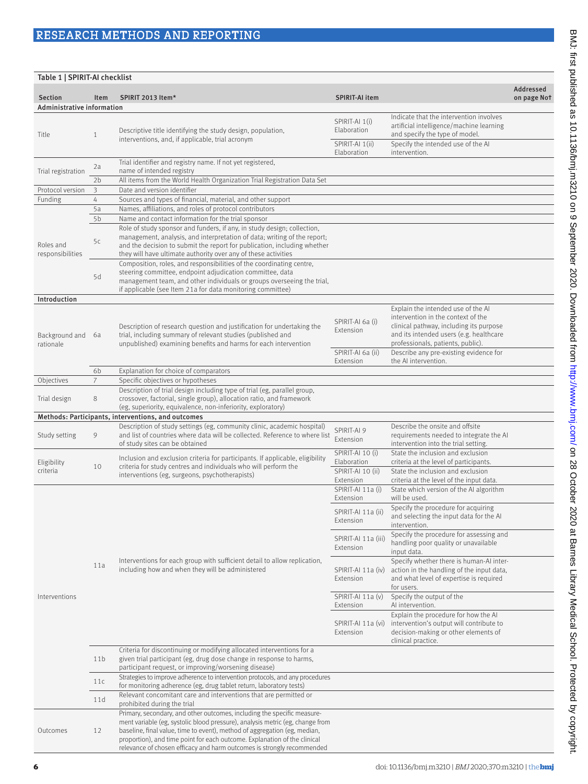| Table 1   SPIRIT-AI checklist |                     |                                                                                                                                                                                                                                                                                                                                                                                              |                                                                 |                                                                                                                                                                                                     |                          |  |  |  |  |
|-------------------------------|---------------------|----------------------------------------------------------------------------------------------------------------------------------------------------------------------------------------------------------------------------------------------------------------------------------------------------------------------------------------------------------------------------------------------|-----------------------------------------------------------------|-----------------------------------------------------------------------------------------------------------------------------------------------------------------------------------------------------|--------------------------|--|--|--|--|
| <b>Section</b>                | Item                | SPIRIT 2013 Item*                                                                                                                                                                                                                                                                                                                                                                            | <b>SPIRIT-AI item</b>                                           |                                                                                                                                                                                                     | Addressed<br>on page Not |  |  |  |  |
| Administrative information    |                     |                                                                                                                                                                                                                                                                                                                                                                                              |                                                                 |                                                                                                                                                                                                     |                          |  |  |  |  |
| Title                         | $\mathbf{1}$        | Descriptive title identifying the study design, population,<br>interventions, and, if applicable, trial acronym                                                                                                                                                                                                                                                                              | SPIRIT-AI 1(i)<br>Elaboration<br>SPIRIT-AI 1(ii)<br>Elaboration | Indicate that the intervention involves<br>artificial intelligence/machine learning<br>and specify the type of model.<br>Specify the intended use of the AI<br>intervention.                        |                          |  |  |  |  |
| Trial registration            | 2a                  | Trial identifier and registry name. If not yet registered,<br>name of intended registry                                                                                                                                                                                                                                                                                                      |                                                                 |                                                                                                                                                                                                     |                          |  |  |  |  |
|                               | 2 <sub>b</sub>      | All items from the World Health Organization Trial Registration Data Set                                                                                                                                                                                                                                                                                                                     |                                                                 |                                                                                                                                                                                                     |                          |  |  |  |  |
| Protocol version              | 3                   | Date and version identifier                                                                                                                                                                                                                                                                                                                                                                  |                                                                 |                                                                                                                                                                                                     |                          |  |  |  |  |
| Funding                       | 4<br>5a             | Sources and types of financial, material, and other support<br>Names, affiliations, and roles of protocol contributors                                                                                                                                                                                                                                                                       |                                                                 |                                                                                                                                                                                                     |                          |  |  |  |  |
| Roles and<br>responsibilities | 5b<br>5c            | Name and contact information for the trial sponsor<br>Role of study sponsor and funders, if any, in study design; collection,<br>management, analysis, and interpretation of data; writing of the report;<br>and the decision to submit the report for publication, including whether<br>they will have ultimate authority over any of these activities                                      |                                                                 |                                                                                                                                                                                                     |                          |  |  |  |  |
|                               | 5d                  | Composition, roles, and responsibilities of the coordinating centre,<br>steering committee, endpoint adjudication committee, data<br>management team, and other individuals or groups overseeing the trial,<br>if applicable (see Item 21a for data monitoring committee)                                                                                                                    |                                                                 |                                                                                                                                                                                                     |                          |  |  |  |  |
| Introduction                  |                     |                                                                                                                                                                                                                                                                                                                                                                                              |                                                                 |                                                                                                                                                                                                     |                          |  |  |  |  |
| Background and<br>rationale   | 6a                  | Description of research question and justification for undertaking the<br>trial, including summary of relevant studies (published and<br>unpublished) examining benefits and harms for each intervention                                                                                                                                                                                     | SPIRIT-AI 6a (i)<br>Extension                                   | Explain the intended use of the AI<br>intervention in the context of the<br>clinical pathway, including its purpose<br>and its intended users (e.g. healthcare<br>professionals, patients, public). |                          |  |  |  |  |
|                               |                     |                                                                                                                                                                                                                                                                                                                                                                                              | SPIRIT-AI 6a (ii)<br>Extension                                  | Describe any pre-existing evidence for<br>the AI intervention.                                                                                                                                      |                          |  |  |  |  |
|                               | 6b                  | Explanation for choice of comparators                                                                                                                                                                                                                                                                                                                                                        |                                                                 |                                                                                                                                                                                                     |                          |  |  |  |  |
| Objectives<br>Trial design    | $\overline{7}$<br>8 | Specific objectives or hypotheses<br>Description of trial design including type of trial (eg, parallel group,<br>crossover, factorial, single group), allocation ratio, and framework<br>(eg, superiority, equivalence, non-inferiority, exploratory)                                                                                                                                        |                                                                 |                                                                                                                                                                                                     |                          |  |  |  |  |
|                               |                     | Methods: Participants, interventions, and outcomes                                                                                                                                                                                                                                                                                                                                           |                                                                 |                                                                                                                                                                                                     |                          |  |  |  |  |
| Study setting                 | 9                   | Description of study settings (eg, community clinic, academic hospital)<br>and list of countries where data will be collected. Reference to where list<br>of study sites can be obtained                                                                                                                                                                                                     | SPIRIT-AI 9<br>Extension                                        | Describe the onsite and offsite<br>requirements needed to integrate the AI<br>intervention into the trial setting.                                                                                  |                          |  |  |  |  |
| Eligibility<br>criteria       | 10                  | Inclusion and exclusion criteria for participants. If applicable, eligibility<br>criteria for study centres and individuals who will perform the<br>interventions (eg, surgeons, psychotherapists)                                                                                                                                                                                           | SPIRIT-AI 10 (i)<br>Elaboration<br>SPIRIT-AI 10 (ii)            | State the inclusion and exclusion<br>criteria at the level of participants.<br>State the inclusion and exclusion                                                                                    |                          |  |  |  |  |
|                               |                     | Interventions for each group with sufficient detail to allow replication,<br>including how and when they will be administered                                                                                                                                                                                                                                                                | Extension<br>SPIRIT-AI 11a (i)<br>Extension                     | criteria at the level of the input data.<br>State which version of the AI algorithm<br>will be used.                                                                                                |                          |  |  |  |  |
| Interventions                 | 11a                 |                                                                                                                                                                                                                                                                                                                                                                                              | SPIRIT-AI 11a (ii)<br>Extension                                 | Specify the procedure for acquiring<br>and selecting the input data for the AI<br>intervention.                                                                                                     |                          |  |  |  |  |
|                               |                     |                                                                                                                                                                                                                                                                                                                                                                                              | SPIRIT-AI 11a (iii)<br>Extension                                | Specify the procedure for assessing and<br>handling poor quality or unavailable<br>input data.                                                                                                      |                          |  |  |  |  |
|                               |                     |                                                                                                                                                                                                                                                                                                                                                                                              | SPIRIT-AI 11a (iv)<br>Extension                                 | Specify whether there is human-AI inter-<br>action in the handling of the input data,<br>and what level of expertise is required<br>for users.                                                      |                          |  |  |  |  |
|                               |                     |                                                                                                                                                                                                                                                                                                                                                                                              | $SPIRIT-AI11a(v)$<br>Extension                                  | Specify the output of the<br>Al intervention.                                                                                                                                                       |                          |  |  |  |  |
|                               |                     |                                                                                                                                                                                                                                                                                                                                                                                              | SPIRIT-AI 11a (vi)<br>Extension                                 | Explain the procedure for how the AI<br>intervention's output will contribute to<br>decision-making or other elements of<br>clinical practice.                                                      |                          |  |  |  |  |
|                               | 11 <sub>b</sub>     | Criteria for discontinuing or modifying allocated interventions for a<br>given trial participant (eg, drug dose change in response to harms,<br>participant request, or improving/worsening disease)                                                                                                                                                                                         |                                                                 |                                                                                                                                                                                                     |                          |  |  |  |  |
|                               | 11c                 | Strategies to improve adherence to intervention protocols, and any procedures<br>for monitoring adherence (eg, drug tablet return, laboratory tests)                                                                                                                                                                                                                                         |                                                                 |                                                                                                                                                                                                     |                          |  |  |  |  |
|                               | 11d                 | Relevant concomitant care and interventions that are permitted or<br>prohibited during the trial                                                                                                                                                                                                                                                                                             |                                                                 |                                                                                                                                                                                                     |                          |  |  |  |  |
| Outcomes                      | 12                  | Primary, secondary, and other outcomes, including the specific measure-<br>ment variable (eg, systolic blood pressure), analysis metric (eg, change from<br>baseline, final value, time to event), method of aggregation (eg, median,<br>proportion), and time point for each outcome. Explanation of the clinical<br>relevance of chosen efficacy and harm outcomes is strongly recommended |                                                                 |                                                                                                                                                                                                     |                          |  |  |  |  |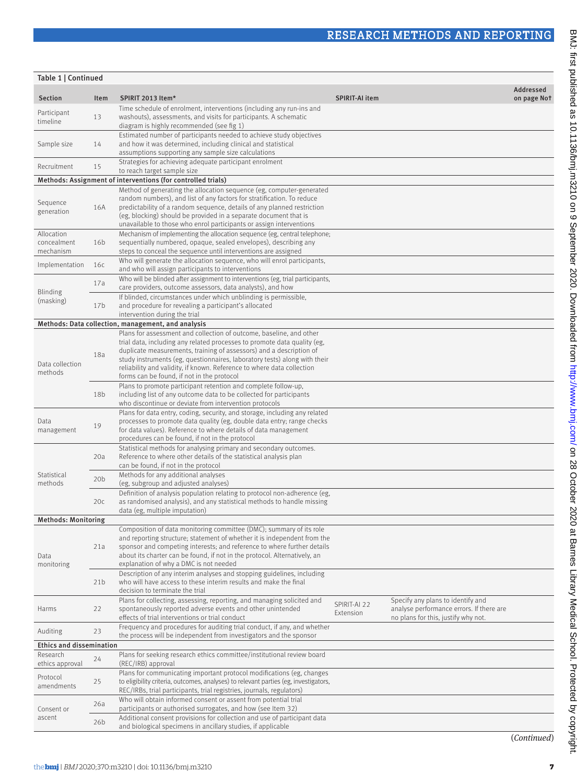| Table 1   Continued                    |                 |                                                                                                                                                                                                                                                                                                                                                                      |                           |                                                                                                                      |                          |  |  |  |  |
|----------------------------------------|-----------------|----------------------------------------------------------------------------------------------------------------------------------------------------------------------------------------------------------------------------------------------------------------------------------------------------------------------------------------------------------------------|---------------------------|----------------------------------------------------------------------------------------------------------------------|--------------------------|--|--|--|--|
| <b>Section</b>                         | Item            | SPIRIT 2013 Item*                                                                                                                                                                                                                                                                                                                                                    | <b>SPIRIT-AI item</b>     |                                                                                                                      | Addressed<br>on page Not |  |  |  |  |
| Participant<br>timeline                | 13              | Time schedule of enrolment, interventions (including any run-ins and<br>washouts), assessments, and visits for participants. A schematic<br>diagram is highly recommended (see fig 1)                                                                                                                                                                                |                           |                                                                                                                      |                          |  |  |  |  |
| Sample size                            | 14              | Estimated number of participants needed to achieve study objectives<br>and how it was determined, including clinical and statistical<br>assumptions supporting any sample size calculations                                                                                                                                                                          |                           |                                                                                                                      |                          |  |  |  |  |
| Recruitment                            | 15              | Strategies for achieving adequate participant enrolment<br>to reach target sample size                                                                                                                                                                                                                                                                               |                           |                                                                                                                      |                          |  |  |  |  |
|                                        |                 | Methods: Assignment of interventions (for controlled trials)                                                                                                                                                                                                                                                                                                         |                           |                                                                                                                      |                          |  |  |  |  |
| Sequence<br>generation                 | 16A             | Method of generating the allocation sequence (eg, computer-generated<br>random numbers), and list of any factors for stratification. To reduce<br>predictability of a random sequence, details of any planned restriction<br>(eg, blocking) should be provided in a separate document that is<br>unavailable to those who enrol participants or assign interventions |                           |                                                                                                                      |                          |  |  |  |  |
| Allocation<br>concealment<br>mechanism | 16 <sub>b</sub> | Mechanism of implementing the allocation sequence (eg, central telephone;<br>sequentially numbered, opaque, sealed envelopes), describing any<br>steps to conceal the sequence until interventions are assigned                                                                                                                                                      |                           |                                                                                                                      |                          |  |  |  |  |
| Implementation                         | 16c             | Who will generate the allocation sequence, who will enrol participants,<br>and who will assign participants to interventions                                                                                                                                                                                                                                         |                           |                                                                                                                      |                          |  |  |  |  |
| <b>Blinding</b><br>(masking)           | 17a             | Who will be blinded after assignment to interventions (eg, trial participants,<br>care providers, outcome assessors, data analysts), and how                                                                                                                                                                                                                         |                           |                                                                                                                      |                          |  |  |  |  |
|                                        | 17 <sub>b</sub> | If blinded, circumstances under which unblinding is permissible,<br>and procedure for revealing a participant's allocated<br>intervention during the trial                                                                                                                                                                                                           |                           |                                                                                                                      |                          |  |  |  |  |
|                                        |                 | Methods: Data collection, management, and analysis<br>Plans for assessment and collection of outcome, baseline, and other                                                                                                                                                                                                                                            |                           |                                                                                                                      |                          |  |  |  |  |
| Data collection<br>methods             | 18a             | trial data, including any related processes to promote data quality (eg,<br>duplicate measurements, training of assessors) and a description of<br>study instruments (eg, questionnaires, laboratory tests) along with their<br>reliability and validity, if known. Reference to where data collection<br>forms can be found, if not in the protocol                 |                           |                                                                                                                      |                          |  |  |  |  |
|                                        | 18 <sub>b</sub> | Plans to promote participant retention and complete follow-up,<br>including list of any outcome data to be collected for participants<br>who discontinue or deviate from intervention protocols                                                                                                                                                                      |                           |                                                                                                                      |                          |  |  |  |  |
| Data<br>management                     | 19              | Plans for data entry, coding, security, and storage, including any related<br>processes to promote data quality (eg, double data entry; range checks<br>for data values). Reference to where details of data management<br>procedures can be found, if not in the protocol                                                                                           |                           |                                                                                                                      |                          |  |  |  |  |
|                                        | 20a             | Statistical methods for analysing primary and secondary outcomes.<br>Reference to where other details of the statistical analysis plan<br>can be found, if not in the protocol                                                                                                                                                                                       |                           |                                                                                                                      |                          |  |  |  |  |
| Statistical<br>methods                 | 20 <sub>b</sub> | Methods for any additional analyses<br>(eg, subgroup and adjusted analyses)                                                                                                                                                                                                                                                                                          |                           |                                                                                                                      |                          |  |  |  |  |
|                                        | 20c             | Definition of analysis population relating to protocol non-adherence (eg,<br>as randomised analysis), and any statistical methods to handle missing<br>data (eg, multiple imputation)                                                                                                                                                                                |                           |                                                                                                                      |                          |  |  |  |  |
| <b>Methods: Monitoring</b>             |                 | Composition of data monitoring committee (DMC); summary of its role                                                                                                                                                                                                                                                                                                  |                           |                                                                                                                      |                          |  |  |  |  |
| Data<br>monitoring                     | 21a             | and reporting structure; statement of whether it is independent from the<br>sponsor and competing interests; and reference to where further details<br>about its charter can be found, if not in the protocol. Alternatively, an<br>explanation of why a DMC is not needed                                                                                           |                           |                                                                                                                      |                          |  |  |  |  |
|                                        | 21 <sub>b</sub> | Description of any interim analyses and stopping guidelines, including<br>who will have access to these interim results and make the final<br>decision to terminate the trial                                                                                                                                                                                        |                           |                                                                                                                      |                          |  |  |  |  |
| Harms                                  | 22              | Plans for collecting, assessing, reporting, and managing solicited and<br>spontaneously reported adverse events and other unintended<br>effects of trial interventions or trial conduct                                                                                                                                                                              | SPIRIT-AI 22<br>Extension | Specify any plans to identify and<br>analyse performance errors. If there are<br>no plans for this, justify why not. |                          |  |  |  |  |
| Auditing                               | 23              | Frequency and procedures for auditing trial conduct, if any, and whether<br>the process will be independent from investigators and the sponsor                                                                                                                                                                                                                       |                           |                                                                                                                      |                          |  |  |  |  |
| Ethics and dissemination               |                 |                                                                                                                                                                                                                                                                                                                                                                      |                           |                                                                                                                      |                          |  |  |  |  |
| Research<br>ethics approval            | 24              | Plans for seeking research ethics committee/institutional review board<br>(REC/IRB) approval                                                                                                                                                                                                                                                                         |                           |                                                                                                                      |                          |  |  |  |  |
| Protocol<br>amendments                 | 25              | Plans for communicating important protocol modifications (eg, changes<br>to eligibility criteria, outcomes, analyses) to relevant parties (eg, investigators,<br>REC/IRBs, trial participants, trial registries, journals, regulators)                                                                                                                               |                           |                                                                                                                      |                          |  |  |  |  |
| Consent or<br>ascent                   | 26a             | Who will obtain informed consent or assent from potential trial<br>participants or authorised surrogates, and how (see Item 32)                                                                                                                                                                                                                                      |                           |                                                                                                                      |                          |  |  |  |  |
|                                        | 26b             | Additional consent provisions for collection and use of participant data<br>and biological specimens in ancillary studies, if applicable                                                                                                                                                                                                                             |                           |                                                                                                                      |                          |  |  |  |  |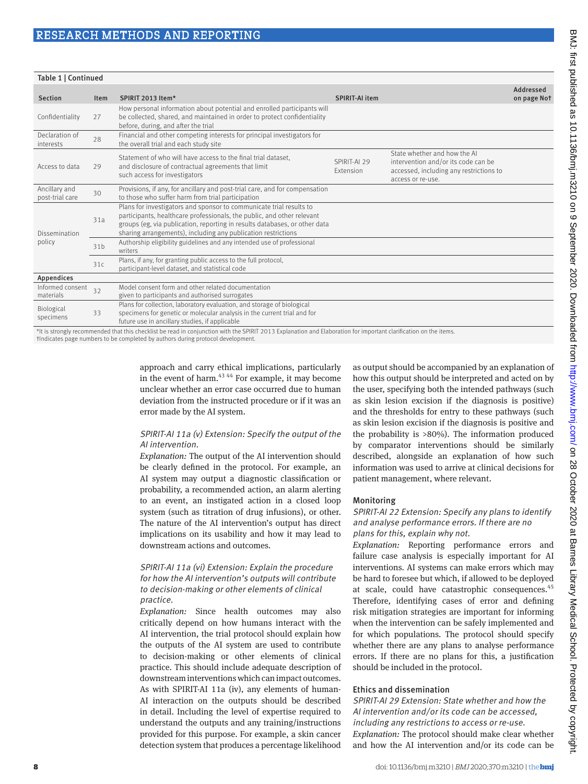| Table 1   Continued      |  |  |  |  |  |  |  |  |  |
|--------------------------|--|--|--|--|--|--|--|--|--|
| Addressed<br>on page Not |  |  |  |  |  |  |  |  |  |
|                          |  |  |  |  |  |  |  |  |  |
|                          |  |  |  |  |  |  |  |  |  |
|                          |  |  |  |  |  |  |  |  |  |
|                          |  |  |  |  |  |  |  |  |  |
|                          |  |  |  |  |  |  |  |  |  |
|                          |  |  |  |  |  |  |  |  |  |
|                          |  |  |  |  |  |  |  |  |  |
|                          |  |  |  |  |  |  |  |  |  |
|                          |  |  |  |  |  |  |  |  |  |
|                          |  |  |  |  |  |  |  |  |  |
|                          |  |  |  |  |  |  |  |  |  |

It is strongly recommended that this checklist be read in conjunction with the SPIRIT 2013 Explanation and Ela †Indicates page numbers to be completed by authors during protocol development.

> approach and carry ethical implications, particularly in the event of harm. $43,44$  For example, it may become unclear whether an error case occurred due to human deviation from the instructed procedure or if it was an error made by the AI system.

#### SPIRIT-AI 11a (v) Extension: Specify the output of the AI intervention.

*Explanation:* The output of the AI intervention should be clearly defined in the protocol. For example, an AI system may output a diagnostic classification or probability, a recommended action, an alarm alerting to an event, an instigated action in a closed loop system (such as titration of drug infusions), or other. The nature of the AI intervention's output has direct implications on its usability and how it may lead to downstream actions and outcomes.

#### SPIRIT-AI 11a (vi) Extension: Explain the procedure for how the AI intervention's outputs will contribute to decision-making or other elements of clinical practice.

*Explanation:* Since health outcomes may also critically depend on how humans interact with the AI intervention, the trial protocol should explain how the outputs of the AI system are used to contribute to decision-making or other elements of clinical practice. This should include adequate description of downstream interventions which can impact outcomes. As with SPIRIT-AI 11a (iv), any elements of human-AI interaction on the outputs should be described in detail. Including the level of expertise required to understand the outputs and any training/instructions provided for this purpose. For example, a skin cancer detection system that produces a percentage likelihood

as output should be accompanied by an explanation of how this output should be interpreted and acted on by the user, specifying both the intended pathways (such as skin lesion excision if the diagnosis is positive) and the thresholds for entry to these pathways (such as skin lesion excision if the diagnosis is positive and the probability is >80%). The information produced by comparator interventions should be similarly described, alongside an explanation of how such information was used to arrive at clinical decisions for patient management, where relevant.

#### Monitoring

#### SPIRIT-AI 22 Extension: Specify any plans to identify and analyse performance errors. If there are no plans for this, explain why not.

*Explanation:* Reporting performance errors and failure case analysis is especially important for AI interventions. AI systems can make errors which may be hard to foresee but which, if allowed to be deployed at scale, could have catastrophic consequences.<sup>45</sup> Therefore, identifying cases of error and defining risk mitigation strategies are important for informing when the intervention can be safely implemented and for which populations. The protocol should specify whether there are any plans to analyse performance errors. If there are no plans for this, a justification should be included in the protocol.

#### Ethics and dissemination

#### SPIRIT-AI 29 Extension: State whether and how the AI intervention and/or its code can be accessed, including any restrictions to access or re-use.

*Explanation:* The protocol should make clear whether and how the AI intervention and/or its code can be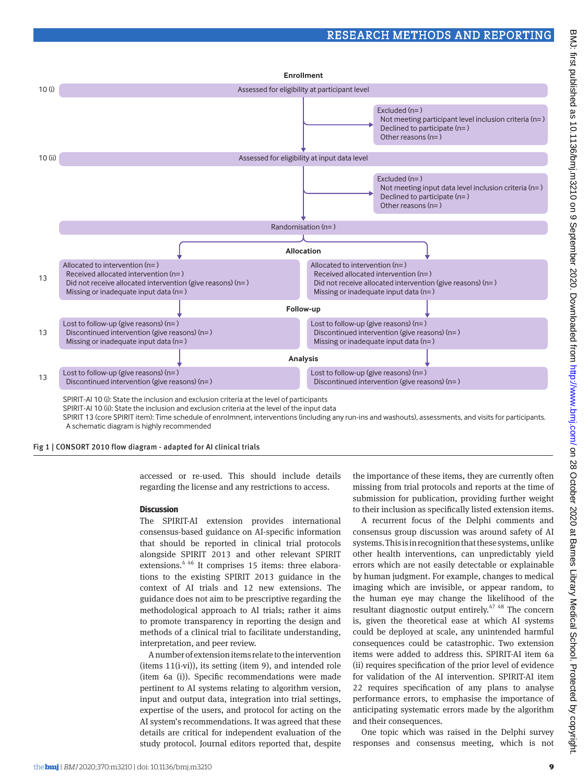

SPIRIT 13 (core SPIRIT item): Time schedule of enrolmnent, interventions (including any run-ins and washouts), assessments, and visits for participants. A schematic diagram is highly recommended

Fig 1 | CONSORT 2010 flow diagram - adapted for AI clinical trials

accessed or re-used. This should include details regarding the license and any restrictions to access.

#### **Discussion**

The SPIRIT-AI extension provides international consensus-based guidance on AI-specific information that should be reported in clinical trial protocols alongside SPIRIT 2013 and other relevant SPIRIT extensions.<sup>4 46</sup> It comprises 15 items: three elaborations to the existing SPIRIT 2013 guidance in the context of AI trials and 12 new extensions. The guidance does not aim to be prescriptive regarding the methodological approach to AI trials; rather it aims to promote transparency in reporting the design and methods of a clinical trial to facilitate understanding, interpretation, and peer review.

A number of extension items relate to the intervention (items 11(i-vi)), its setting (item 9), and intended role (item 6a (i)). Specific recommendations were made pertinent to AI systems relating to algorithm version, input and output data, integration into trial settings, expertise of the users, and protocol for acting on the AI system's recommendations. It was agreed that these details are critical for independent evaluation of the study protocol. Journal editors reported that, despite

the importance of these items, they are currently often missing from trial protocols and reports at the time of submission for publication, providing further weight to their inclusion as specifically listed extension items.

A recurrent focus of the Delphi comments and consensus group discussion was around safety of AI systems. This is in recognition that these systems, unlike other health interventions, can unpredictably yield errors which are not easily detectable or explainable by human judgment. For example, changes to medical imaging which are invisible, or appear random, to the human eye may change the likelihood of the resultant diagnostic output entirely.<sup>47</sup> <sup>48</sup> The concern is, given the theoretical ease at which AI systems could be deployed at scale, any unintended harmful consequences could be catastrophic. Two extension items were added to address this. SPIRIT-AI item 6a (ii) requires specification of the prior level of evidence for validation of the AI intervention. SPIRIT-AI item 22 requires specification of any plans to analyse performance errors, to emphasise the importance of anticipating systematic errors made by the algorithm and their consequences.

One topic which was raised in the Delphi survey responses and consensus meeting, which is not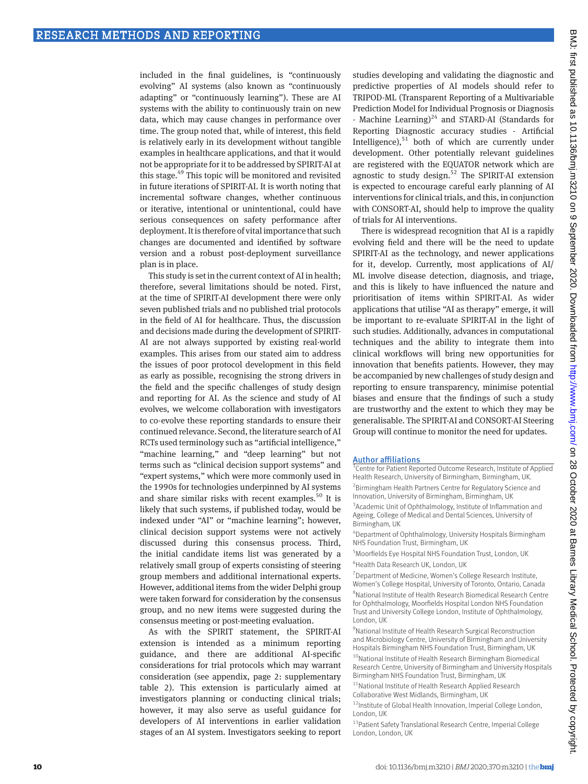included in the final guidelines, is "continuously evolving" AI systems (also known as "continuously adapting" or "continuously learning"). These are AI systems with the ability to continuously train on new data, which may cause changes in performance over time. The group noted that, while of interest, this field is relatively early in its development without tangible examples in healthcare applications, and that it would not be appropriate for it to be addressed by SPIRIT-AI at this stage.49 This topic will be monitored and revisited in future iterations of SPIRIT-AI. It is worth noting that incremental software changes, whether continuous or iterative, intentional or unintentional, could have serious consequences on safety performance after deployment. It is therefore of vital importance that such changes are documented and identified by software version and a robust post-deployment surveillance plan is in place.

This study is set in the current context of AI in health; therefore, several limitations should be noted. First, at the time of SPIRIT-AI development there were only seven published trials and no published trial protocols in the field of AI for healthcare. Thus, the discussion and decisions made during the development of SPIRIT-AI are not always supported by existing real-world examples. This arises from our stated aim to address the issues of poor protocol development in this field as early as possible, recognising the strong drivers in the field and the specific challenges of study design and reporting for AI. As the science and study of AI evolves, we welcome collaboration with investigators to co-evolve these reporting standards to ensure their continued relevance. Second, the literature search of AI RCTs used terminology such as "artificial intelligence," "machine learning," and "deep learning" but not terms such as "clinical decision support systems" and "expert systems," which were more commonly used in the 1990s for technologies underpinned by AI systems and share similar risks with recent examples.<sup>50</sup> It is likely that such systems, if published today, would be indexed under "AI" or "machine learning"; however, clinical decision support systems were not actively discussed during this consensus process. Third, the initial candidate items list was generated by a relatively small group of experts consisting of steering group members and additional international experts. However, additional items from the wider Delphi group were taken forward for consideration by the consensus group, and no new items were suggested during the consensus meeting or post-meeting evaluation.

As with the SPIRIT statement, the SPIRIT-AI extension is intended as a minimum reporting guidance, and there are additional AI-specific considerations for trial protocols which may warrant consideration (see appendix, page 2: supplementary table 2). This extension is particularly aimed at investigators planning or conducting clinical trials; however, it may also serve as useful guidance for developers of AI interventions in earlier validation stages of an AI system. Investigators seeking to report

studies developing and validating the diagnostic and predictive properties of AI models should refer to TRIPOD-ML (Transparent Reporting of a Multivariable Prediction Model for Individual Prognosis or Diagnosis - Machine Learning) $^{24}$  and STARD-AI (Standards for Reporting Diagnostic accuracy studies - Artificial Intelligence), $51$  both of which are currently under development. Other potentially relevant guidelines are registered with the EQUATOR network which are agnostic to study design.<sup>52</sup> The SPIRIT-AI extension is expected to encourage careful early planning of AI interventions for clinical trials, and this, in conjunction with CONSORT-AI, should help to improve the quality of trials for AI interventions.

There is widespread recognition that AI is a rapidly evolving field and there will be the need to update SPIRIT-AI as the technology, and newer applications for it, develop. Currently, most applications of AI/ ML involve disease detection, diagnosis, and triage, and this is likely to have influenced the nature and prioritisation of items within SPIRIT-AI. As wider applications that utilise "AI as therapy" emerge, it will be important to re-evaluate SPIRIT-AI in the light of such studies. Additionally, advances in computational techniques and the ability to integrate them into clinical workflows will bring new opportunities for innovation that benefits patients. However, they may be accompanied by new challenges of study design and reporting to ensure transparency, minimise potential biases and ensure that the findings of such a study are trustworthy and the extent to which they may be generalisable. The SPIRIT-AI and CONSORT-AI Steering Group will continue to monitor the need for updates.

#### Author affiliations

1 Centre for Patient Reported Outcome Research, Institute of Applied Health Research, University of Birmingham, Birmingham, UK. <sup>2</sup> Birmingham Health Partners Centre for Regulatory Science and Innovation, University of Birmingham, Birmingham, UK <sup>3</sup> Academic Unit of Ophthalmology, Institute of Inflammation and Ageing, College of Medical and Dental Sciences, University of Birmingham, UK

4 Department of Ophthalmology, University Hospitals Birmingham NHS Foundation Trust, Birmingham, UK

<sup>5</sup> Moorfields Eye Hospital NHS Foundation Trust, London, UK 6 Health Data Research UK, London, UK

<sup>7</sup> Department of Medicine, Women's College Research Institute, Women's College Hospital, University of Toronto, Ontario, Canada 8 National Institute of Health Research Biomedical Research Centre

for Ophthalmology, Moorfields Hospital London NHS Foundation Trust and University College London, Institute of Ophthalmology, London, UK

<sup>9</sup>National Institute of Health Research Surgical Reconstruction and Microbiology Centre, University of Birmingham and University Hospitals Birmingham NHS Foundation Trust, Birmingham, UK

<sup>10</sup>National Institute of Health Research Birmingham Biomedical Research Centre, University of Birmingham and University Hospitals Birmingham NHS Foundation Trust, Birmingham, UK

<sup>11</sup>National Institute of Health Research Applied Research Collaborative West Midlands, Birmingham, UK

<sup>12</sup>Institute of Global Health Innovation, Imperial College London, London, UK

13 Patient Safety Translational Research Centre, Imperial College London, London, UK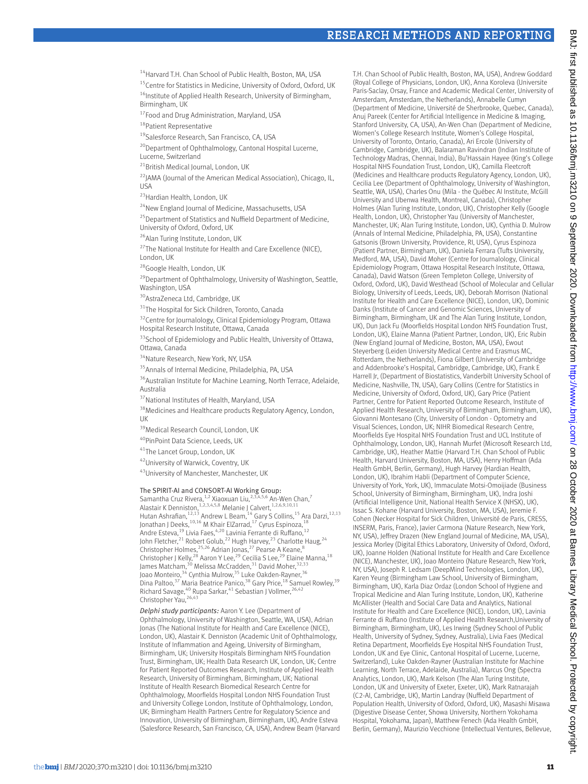<sup>14</sup> Harvard T.H. Chan School of Public Health, Boston, MA, USA

<sup>15</sup>Centre for Statistics in Medicine, University of Oxford, Oxford, UK <sup>16</sup>Institute of Applied Health Research, University of Birmingham, Birmingham, UK

<sup>17</sup>Food and Drug Administration, Maryland, USA

<sup>18</sup>Patient Representative

19 Salesforce Research, San Francisco, CA, USA

<sup>20</sup>Department of Ophthalmology, Cantonal Hospital Lucerne, Lucerne, Switzerland

<sup>21</sup>British Medical Journal, London, UK

<sup>22</sup>JAMA (Journal of the American Medical Association), Chicago, IL,  $IISA$ 

<sup>23</sup> Hardian Health, London, UK

<sup>24</sup>New England Journal of Medicine, Massachusetts, USA

<sup>25</sup> Department of Statistics and Nuffield Department of Medicine, University of Oxford, Oxford, UK

26Alan Turing Institute, London, UK

<sup>27</sup>The National Institute for Health and Care Excellence (NICE), London, UK

<sup>28</sup>Google Health, London, UK

 $^{29}$ Department of Ophthalmology, University of Washington, Seattle, Washington, USA

<sup>30</sup>AstraZeneca Ltd, Cambridge, UK

<sup>31</sup>The Hospital for Sick Children, Toronto, Canada

<sup>32</sup>Centre for Journalology, Clinical Epidemiology Program, Ottawa Hospital Research Institute, Ottawa, Canada

<sup>33</sup>School of Epidemiology and Public Health, University of Ottawa, Ottawa, Canada

<sup>34</sup>Nature Research, New York, NY, USA

<sup>35</sup> Annals of Internal Medicine, Philadelphia, PA, USA

<sup>36</sup>Australian Institute for Machine Learning, North Terrace, Adelaide, Australia

<sup>37</sup>National Institutes of Health, Maryland, USA

<sup>38</sup> Medicines and Healthcare products Regulatory Agency, London, UK

<sup>39</sup>Medical Research Council, London, UK

40PinPoint Data Science, Leeds, UK

41The Lancet Group, London, UK

42University of Warwick, Coventry, UK

43 University of Manchester, Manchester, UK

#### The SPIRIT-AI and CONSORT-AI Working Group:

Samantha Cruz Rivera, <sup>1,2</sup> Xiaoxuan Liu,<sup>2,3,4,5,6</sup> An-Wen Chan,<sup>7</sup><br>Alastair K Denniston, <sup>1,2,3,4,5,8</sup> Melanie J Calvert, <sup>1,2,6,9,10,11</sup> Hutan Ashrafian,<sup>12,13</sup> Andrew L Beam,<sup>14</sup> Gary S Collins,<sup>15</sup> Ara Darzi,<sup>12,13</sup> Jonathan J Deeks, <sup>10,16</sup> M Khair ElZarrad, <sup>17</sup> Cyrus Espinoza, <sup>18</sup> Andre Esteva,<sup>19</sup> Livia Faes,<sup>4,20</sup> Lavinia Ferrante di Ruffano,<sup>12</sup> John Fletcher,<sup>21</sup> Robert Golub,<sup>22</sup> Hugh Harvey,<sup>23</sup> Charlotte Haug,<sup>24</sup> Christopher Holmes,<sup>25,26</sup> Adrian Jonas,<sup>27</sup> Pearse A Keane,<sup>8</sup><br>Christopher J Kelly,<sup>28</sup> Aaron Y Lee,<sup>29</sup> Cecilia S Lee,<sup>29</sup> Elaine Manna,<sup>18</sup> James Matcham,<sup>30</sup> Melissa McCradden,<sup>31</sup> David Moher,<sup>32,33</sup> Joao Monteiro,<sup>34</sup> Cynthia Mulrow,<sup>35</sup> Luke Oakden-Rayner,<sup>36</sup> Dina Paltoo,<sup>37</sup> Maria Beatrice Panico,<sup>38</sup> Gary Price,<sup>18</sup> Samuel Rowley,<sup>39</sup> Richard Savage,<sup>40</sup> Rupa Sarkar,<sup>41</sup> Sebastian J Vollmer,<sup>26,42</sup> Christopher Yau,<sup>26,43</sup>

*Delphi study participants:* Aaron Y. Lee (Department of Ophthalmology, University of Washington, Seattle, WA, USA), Adrian Jonas (The National Institute for Health and Care Excellence (NICE), London, UK), Alastair K. Denniston (Academic Unit of Ophthalmology, Institute of Inflammation and Ageing, University of Birmingham, Birmingham, UK; University Hospitals Birmingham NHS Foundation Trust, Birmingham, UK; Health Data Research UK, London, UK; Centre for Patient Reported Outcomes Research, Institute of Applied Health Research, University of Birmingham, Birmingham, UK; National Institute of Health Research Biomedical Research Centre for Ophthalmology, Moorfields Hospital London NHS Foundation Trust and University College London, Institute of Ophthalmology, London, UK; Birmingham Health Partners Centre for Regulatory Science and Innovation, University of Birmingham, Birmingham, UK), Andre Esteva (Salesforce Research, San Francisco, CA, USA), Andrew Beam (Harvard T.H. Chan School of Public Health, Boston, MA, USA), Andrew Goddard (Royal College of Physicians, London, UK), Anna Koroleva (Universite Paris-Saclay, Orsay, France and Academic Medical Center, University of Amsterdam, Amsterdam, the Netherlands), Annabelle Cumyn (Department of Medicine, Université de Sherbrooke, Quebec, Canada), Anuj Pareek (Center for Artificial Intelligence in Medicine & Imaging, Stanford University, CA, USA), An-Wen Chan (Department of Medicine, Women's College Research Institute, Women's College Hospital, University of Toronto, Ontario, Canada), Ari Ercole (University of Cambridge, Cambridge, UK), Balaraman Ravindran (Indian Institute of Technology Madras, Chennai, India), Bu'Hassain Hayee (King's College Hospital NHS Foundation Trust, London, UK), Camilla Fleetcroft (Medicines and Healthcare products Regulatory Agency, London, UK), Cecilia Lee (Department of Ophthalmology, University of Washington, Seattle, WA, USA), Charles Onu (Mila - the Québec AI Institute, McGill University and Ubenwa Health, Montreal, Canada), Christopher Holmes (Alan Turing Institute, London, UK), Christopher Kelly (Google Health, London, UK), Christopher Yau (University of Manchester, Manchester, UK; Alan Turing Institute, London, UK), Cynthia D. Mulrow (Annals of Internal Medicine, Philadelphia, PA, USA), Constantine Gatsonis (Brown University, Providence, RI, USA), Cyrus Espinoza (Patient Partner, Birmingham, UK), Daniela Ferrara (Tufts University, Medford, MA, USA), David Moher (Centre for Journalology, Clinical Epidemiology Program, Ottawa Hospital Research Institute, Ottawa, Canada), David Watson (Green Templeton College, University of Oxford, Oxford, UK), David Westhead (School of Molecular and Cellular Biology, University of Leeds, Leeds, UK), Deborah Morrison (National Institute for Health and Care Excellence (NICE), London, UK), Dominic Danks (Institute of Cancer and Genomic Sciences, University of Birmingham, Birmingham, UK and The Alan Turing Institute, London, UK), Dun Jack Fu (Moorfields Hospital London NHS Foundation Trust, London, UK), Elaine Manna (Patient Partner, London, UK), Eric Rubin (New England Journal of Medicine, Boston, MA, USA), Ewout Steyerberg (Leiden University Medical Centre and Erasmus MC, Rotterdam, the Netherlands), Fiona Gilbert (University of Cambridge and Addenbrooke's Hospital, Cambridge, Cambridge, UK), Frank E Harrell Jr, (Department of Biostatistics, Vanderbilt University School of Medicine, Nashville, TN, USA), Gary Collins (Centre for Statistics in Medicine, University of Oxford, Oxford, UK), Gary Price (Patient Partner, Centre for Patient Reported Outcome Research, Institute of Applied Health Research, University of Birmingham, Birmingham, UK), Giovanni Montesano (City, University of London - Optometry and Visual Sciences, London, UK; NIHR Biomedical Research Centre, Moorfields Eye Hospital NHS Foundation Trust and UCL Institute of Ophthalmology, London, UK), Hannah Murfet (Microsoft Research Ltd, Cambridge, UK), Heather Mattie (Harvard T.H. Chan School of Public Health, Harvard University, Boston, MA, USA), Henry Hoffman (Ada Health GmbH, Berlin, Germany), Hugh Harvey (Hardian Health, London, UK), Ibrahim Habli (Department of Computer Science, University of York, York, UK), Immaculate Motsi-Omoijiade (Business School, University of Birmingham, Birmingham, UK), Indra Joshi (Artificial Intelligence Unit, National Health Service X (NHSX), UK), Issac S. Kohane (Harvard University, Boston, MA, USA), Jeremie F. Cohen (Necker Hospital for Sick Children, Université de Paris, CRESS, INSERM, Paris, France), Javier Carmona (Nature Research, New York, NY, USA), Jeffrey Drazen (New England Journal of Medicine, MA, USA), Jessica Morley (Digital Ethics Laboratory, University of Oxford, Oxford, UK), Joanne Holden (National Institute for Health and Care Excellence (NICE), Manchester, UK), Joao Monteiro (Nature Research, New York, NY, USA), Joseph R. Ledsam (DeepMind Technologies, London, UK), Karen Yeung (Birmingham Law School, University of Birmingham, Birmingham, UK), Karla Diaz Ordaz (London School of Hygiene and Tropical Medicine and Alan Turing Institute, London, UK), Katherine McAllister (Health and Social Care Data and Analytics, National Institute for Health and Care Excellence (NICE), London, UK), Lavinia Ferrante di Ruffano (Institute of Applied Health Research,University of Birmingham, Birmingham, UK), Les Irwing (Sydney School of Public Health, University of Sydney, Sydney, Australia), Livia Faes (Medical Retina Department, Moorfields Eye Hospital NHS Foundation Trust, London, UK and Eye Clinic, Cantonal Hospital of Lucerne, Lucerne, Switzerland), Luke Oakden-Rayner (Australian Institute for Machine Learning, North Terrace, Adelaide, Australia), Marcus Ong (Spectra Analytics, London, UK), Mark Kelson (The Alan Turing Institute, London, UK and University of Exeter, Exeter, UK), Mark Ratnarajah (C2-AI, Cambridge, UK), Martin Landray (Nuffield Department of Population Health, University of Oxford, Oxford, UK), Masashi Misawa (Digestive Disease Center, Showa University, Northern Yokohama Hospital, Yokohama, Japan), Matthew Fenech (Ada Health GmbH, Berlin, Germany), Maurizio Vecchione (Intellectual Ventures, Bellevue,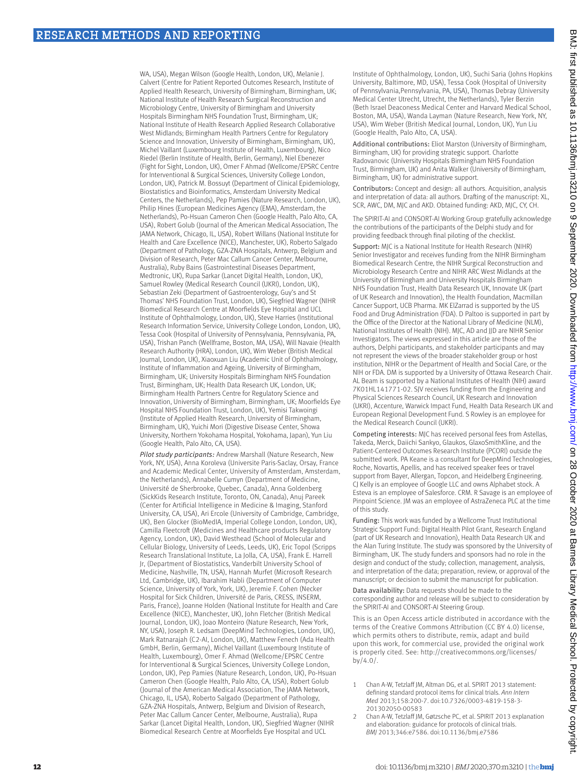WA, USA), Megan Wilson (Google Health, London, UK), Melanie J. Calvert (Centre for Patient Reported Outcomes Research, Institute of Applied Health Research, University of Birmingham, Birmingham, UK; National Institute of Health Research Surgical Reconstruction and Microbiology Centre, University of Birmingham and University Hospitals Birmingham NHS Foundation Trust, Birmingham, UK; National Institute of Health Research Applied Research Collaborative West Midlands; Birmingham Health Partners Centre for Regulatory Science and Innovation, University of Birmingham, Birmingham, UK), Michel Vaillant (Luxembourg Institute of Health, Luxembourg), Nico Riedel (Berlin Institute of Health, Berlin, Germany), Niel Ebenezer (Fight for Sight, London, UK), Omer F Ahmad (Wellcome/EPSRC Centre for Interventional & Surgical Sciences, University College London, London, UK), Patrick M. Bossuyt (Department of Clinical Epidemiology, Biostatistics and Bioinformatics, Amsterdam University Medical Centers, the Netherlands), Pep Pamies (Nature Research, London, UK), Philip Hines (European Medicines Agency (EMA), Amsterdam, the Netherlands), Po-Hsuan Cameron Chen (Google Health, Palo Alto, CA, USA), Robert Golub (Journal of the American Medical Association, The JAMA Network, Chicago, IL, USA), Robert Willans (National Institute for Health and Care Excellence (NICE), Manchester, UK), Roberto Salgado (Department of Pathology, GZA-ZNA Hospitals, Antwerp, Belgium and Division of Research, Peter Mac Callum Cancer Center, Melbourne, Australia), Ruby Bains (Gastrointestinal Diseases Department, Medtronic, UK), Rupa Sarkar (Lancet Digital Health, London, UK), Samuel Rowley (Medical Research Council (UKRI), London, UK), Sebastian Zeki (Department of Gastroenterology, Guy's and St Thomas' NHS Foundation Trust, London, UK), Siegfried Wagner (NIHR Biomedical Research Centre at Moorfields Eye Hospital and UCL Institute of Ophthalmology, London, UK), Steve Harries (Institutional Research Information Service, University College London, London, UK), Tessa Cook (Hospital of University of Pennsylvania, Pennsylvania, PA, USA), Trishan Panch (Wellframe, Boston, MA, USA), Will Navaie (Health Research Authority (HRA), London, UK), Wim Weber (British Medical Journal, London, UK), Xiaoxuan Liu (Academic Unit of Ophthalmology, Institute of Inflammation and Ageing, University of Birmingham, Birmingham, UK; University Hospitals Birmingham NHS Foundation Trust, Birmingham, UK; Health Data Research UK, London, UK; Birmingham Health Partners Centre for Regulatory Science and Innovation, University of Birmingham, Birmingham, UK; Moorfields Eye Hospital NHS Foundation Trust, London, UK), Yemisi Takwoingi (Institute of Applied Health Research, University of Birmingham, Birmingham, UK), Yuichi Mori (Digestive Disease Center, Showa University, Northern Yokohama Hospital, Yokohama, Japan), Yun Liu (Google Health, Palo Alto, CA, USA).

*Pilot study participants:* Andrew Marshall (Nature Research, New York, NY, USA), Anna Koroleva (Universite Paris-Saclay, Orsay, France and Academic Medical Center, University of Amsterdam, Amsterdam, the Netherlands), Annabelle Cumyn (Department of Medicine, Université de Sherbrooke, Quebec, Canada), Anna Goldenberg (SickKids Research Institute, Toronto, ON, Canada), Anuj Pareek (Center for Artificial Intelligence in Medicine & Imaging, Stanford University, CA, USA), Ari Ercole (University of Cambridge, Cambridge, UK), Ben Glocker (BioMedIA, Imperial College London, London, UK), Camilla Fleetcroft (Medicines and Healthcare products Regulatory Agency, London, UK), David Westhead (School of Molecular and Cellular Biology, University of Leeds, Leeds, UK), Eric Topol (Scripps Research Translational Institute, La Jolla, CA, USA), Frank E. Harrell Jr, (Department of Biostatistics, Vanderbilt University School of Medicine, Nashville, TN, USA), Hannah Murfet (Microsoft Research Ltd, Cambridge, UK), Ibarahim Habli (Department of Computer Science, University of York, York, UK), Jeremie F. Cohen (Necker Hospital for Sick Children, Université de Paris, CRESS, INSERM, Paris, France), Joanne Holden (National Institute for Health and Care Excellence (NICE), Manchester, UK), John Fletcher (British Medical Journal, London, UK), Joao Monteiro (Nature Research, New York, NY, USA), Joseph R. Ledsam (DeepMind Technologies, London, UK), Mark Ratnarajah (C2-AI, London, UK), Matthew Fenech (Ada Health GmbH, Berlin, Germany), Michel Vaillant (Luxembourg Institute of Health, Luxembourg), Omer F. Ahmad (Wellcome/EPSRC Centre for Interventional & Surgical Sciences, University College London, London, UK), Pep Pamies (Nature Research, London, UK), Po-Hsuan Cameron Chen (Google Health, Palo Alto, CA, USA), Robert Golub (Journal of the American Medical Association, The JAMA Network, Chicago, IL, USA), Roberto Salgado (Department of Pathology, GZA-ZNA Hospitals, Antwerp, Belgium and Division of Research, Peter Mac Callum Cancer Center, Melbourne, Australia), Rupa Sarkar (Lancet Digital Health, London, UK), Siegfried Wagner (NIHR Biomedical Research Centre at Moorfields Eye Hospital and UCL

Institute of Ophthalmology, London, UK), Suchi Saria (Johns Hopkins University, Baltimore, MD, USA), Tessa Cook (Hospital of University of Pennsylvania,Pennsylvania, PA, USA), Thomas Debray (University Medical Center Utrecht, Utrecht, the Netherlands), Tyler Berzin (Beth Israel Deaconess Medical Center and Harvard Medical School, Boston, MA, USA), Wanda Layman (Nature Research, New York, NY, USA), Wim Weber (British Medical Journal, London, UK), Yun Liu (Google Health, Palo Alto, CA, USA).

Additional contributions: Eliot Marston (University of Birmingham, Birmingham, UK) for providing strategic support. Charlotte Radovanovic (University Hospitals Birmingham NHS Foundation Trust, Birmingham, UK) and Anita Walker (University of Birmingham, Birmingham, UK) for administrative support.

Contributors: Concept and design: all authors. Acquisition, analysis and interpretation of data: all authors. Drafting of the manuscript: XL, SCR, AWC, DM, MJC and AKD. Obtained funding: AKD, MJC, CY, CH.

The SPIRIT-AI and CONSORT-AI Working Group gratefully acknowledge the contributions of the participants of the Delphi study and for providing feedback through final piloting of the checklist.

Support: MJC is a National Institute for Health Research (NIHR) Senior Investigator and receives funding from the NIHR Birmingham Biomedical Research Centre, the NIHR Surgical Reconstruction and Microbiology Research Centre and NIHR ARC West Midlands at the University of Birmingham and University Hospitals Birmingham NHS Foundation Trust, Health Data Research UK, Innovate UK (part of UK Research and Innovation), the Health Foundation, Macmillan Cancer Support, UCB Pharma. MK ElZarrad is supported by the US Food and Drug Administration (FDA). D Paltoo is supported in part by the Office of the Director at the National Library of Medicine (NLM), National Institutes of Health (NIH). MJC, AD and JJD are NIHR Senior Investigators. The views expressed in this article are those of the authors, Delphi participants, and stakeholder participants and may not represent the views of the broader stakeholder group or host institution, NIHR or the Department of Health and Social Care, or the NIH or FDA. DM is supported by a University of Ottawa Research Chair. AL Beam is supported by a National Institutes of Health (NIH) award 7K01HL141771-02. SJV receives funding from the Engineering and Physical Sciences Research Council, UK Research and Innovation (UKRI), Accenture, Warwick Impact Fund, Health Data Research UK and European Regional Development Fund. S Rowley is an employee for the Medical Research Council (UKRI).

Competing interests: MJC has received personal fees from Astellas, Takeda, Merck, Daiichi Sankyo, Glaukos, GlaxoSmithKline, and the Patient-Centered Outcomes Research Institute (PCORI) outside the submitted work. PA Keane is a consultant for DeepMind Technologies, Roche, Novartis, Apellis, and has received speaker fees or travel support from Bayer, Allergan, Topcon, and Heidelberg Engineering. CJ Kelly is an employee of Google LLC and owns Alphabet stock. A Esteva is an employee of Salesforce. CRM. R Savage is an employee of Pinpoint Science. JM was an employee of AstraZeneca PLC at the time of this study.

Funding: This work was funded by a Wellcome Trust Institutional Strategic Support Fund: Digital Health Pilot Grant, Research England (part of UK Research and Innovation), Health Data Research UK and the Alan Turing Institute. The study was sponsored by the University of Birmingham, UK. The study funders and sponsors had no role in the design and conduct of the study; collection, management, analysis, and interpretation of the data; preparation, review, or approval of the manuscript; or decision to submit the manuscript for publication.

Data availability: Data requests should be made to the corresponding author and release will be subject to consideration by the SPIRIT-AI and CONSORT-AI Steering Group.

This is an Open Access article distributed in accordance with the terms of the Creative Commons Attribution (CC BY 4.0) license, which permits others to distribute, remix, adapt and build upon this work, for commercial use, provided the original work is properly cited. See: [http://creativecommons.org/licenses/](http://creativecommons.org/licenses/by/4.0/) [by/4.0/.](http://creativecommons.org/licenses/by/4.0/)

- 1 Chan A-W, Tetzlaff JM, Altman DG, et al. SPIRIT 2013 statement: defining standard protocol items for clinical trials. *Ann Intern Med* 2013;158:200-7. doi:10.7326/0003-4819-158-3- 201302050-00583
- 2 Chan A-W, Tetzlaff JM, Gøtzsche PC, et al. SPIRIT 2013 explanation and elaboration: guidance for protocols of clinical trials. *BMJ* 2013;346:e7586. doi:10.1136/bmj.e7586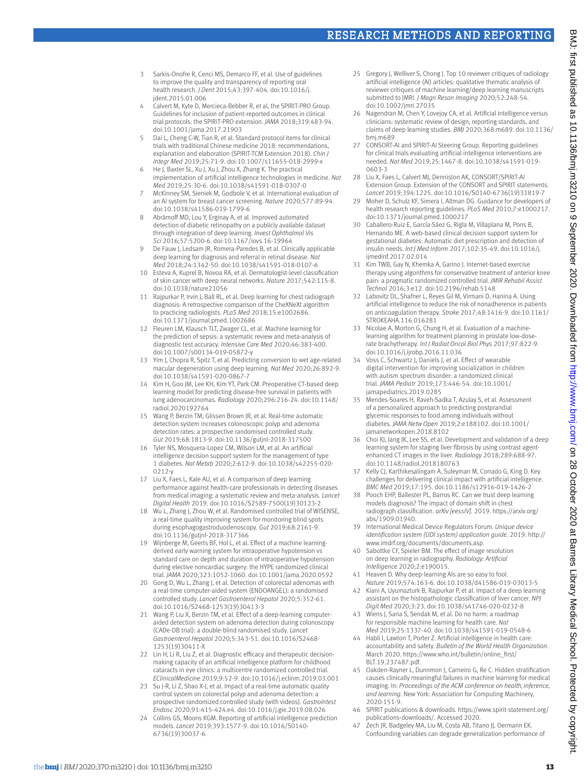### Research Methods and Reporting

- 3 Sarkis-Onofre R, Cenci MS, Demarco FF, et al. Use of guidelines to improve the quality and transparency of reporting oral health research. *J Dent* 2015;43:397-404. doi:10.1016/j. jdent.2015.01.006
- 4 Calvert M, Kyte D, Mercieca-Bebber R, et al, the SPIRIT-PRO Group. Guidelines for inclusion of patient-reported outcomes in clinical trial protocols: the SPIRIT-PRO extension. *JAMA* 2018;319:483-94. doi:10.1001/jama.2017.21903
- 5 Dai L, Cheng C-W, Tian R, et al. Standard protocol items for clinical trials with traditional Chinese medicine 2018: recommendations, explanation and elaboration (SPIRIT-TCM Extension 2018). *Chin J Integr Med* 2019;25:71-9. doi:10.1007/s11655-018-2999-x
- 6 He J, Baxter SL, Xu J, Xu J, Zhou X, Zhang K. The practical implementation of artificial intelligence technologies in medicine. *Nat Med* 2019;25:30-6. doi:10.1038/s41591-018-0307-0
- 7 McKinney SM, Sieniek M, Godbole V, et al. International evaluation of an AI system for breast cancer screening. *Nature* 2020;577:89-94. doi:10.1038/s41586-019-1799-6
- 8 Abràmoff MD, Lou Y, Erginay A, et al. Improved automated detection of diabetic retinopathy on a publicly available dataset through integration of deep learning. *Invest Ophthalmol Vis Sci* 2016;57:5200-6. doi:10.1167/iovs.16-19964
- 9 De Fauw J, Ledsam JR, Romera-Paredes B, et al. Clinically applicable deep learning for diagnosis and referral in retinal disease. *Nat Med* 2018;24:1342-50. doi:10.1038/s41591-018-0107-6
- 10 Esteva A, Kuprel B, Novoa RA, et al. Dermatologist-level classification of skin cancer with deep neural networks. *Nature* 2017;542:115-8. doi:10.1038/nature21056
- 11 Rajpurkar P, Irvin J, Ball RL, et al. Deep learning for chest radiograph diagnosis: A retrospective comparison of the CheXNeXt algorithm to practicing radiologists. *PLoS Med* 2018;15:e1002686. doi:10.1371/journal.pmed.1002686
- 12 Fleuren LM, Klausch TLT, Zwager CL, et al. Machine learning for the prediction of sepsis: a systematic review and meta-analysis of diagnostic test accuracy. *Intensive Care Med* 2020;46:383-400. doi:10.1007/s00134-019-05872-y
- Yim J, Chopra R, Spitz T, et al. Predicting conversion to wet age-related macular degeneration using deep learning. *Nat Med* 2020;26:892-9. doi:10.1038/s41591-020-0867-7
- 14 Kim H, Goo JM, Lee KH, Kim YT, Park CM. Preoperative CT-based deep learning model for predicting disease-free survival in patients with lung adenocarcinomas. *Radiology* 2020;296:216-24. doi:10.1148/ radiol.2020192764
- 15 Wang P, Berzin TM, Glissen Brown JR, et al. Real-time automatic detection system increases colonoscopic polyp and adenoma detection rates: a prospective randomised controlled study. *Gut* 2019;68:1813-9. doi:10.1136/gutjnl-2018-317500
- 16 Tyler NS, Mosquera-Lopez CM, Wilson LM, et al. An artificial intelligence decision support system for the management of type 1 diabetes. *Nat Metab* 2020;2:612-9. doi:10.1038/s42255-020- 0212-y
- 17 Liu X, Faes L, Kale AU, et al. A comparison of deep learning performance against health-care professionals in detecting diseases from medical imaging: a systematic review and meta-analysis. *Lancet Digital Health* 2019. doi:10.1016/S2589-7500(19)30123-2
- 18 Wu L, Zhang J, Zhou W, et al. Randomised controlled trial of WISENSE, a real-time quality improving system for monitoring blind spots during esophagogastroduodenoscopy. *Gut* 2019;68:2161-9. doi:10.1136/gutjnl-2018-317366
- 19 Wijnberge M, Geerts BF, Hol L, et al. Effect of a machine learningderived early warning system for intraoperative hypotension vs standard care on depth and duration of intraoperative hypotension during elective noncardiac surgery: the HYPE randomized clinical trial. *JAMA* 2020;323:1052-1060. doi:10.1001/jama.2020.0592
- 20 Gong D, Wu L, Zhang J, et al. Detection of colorectal adenomas with a real-time computer-aided system (ENDOANGEL): a randomised controlled study. *Lancet Gastroenterol Hepatol* 2020;5:352-61. doi:10.1016/S2468-1253(19)30413-3
- Wang P, Liu X, Berzin TM, et al. Effect of a deep-learning computeraided detection system on adenoma detection during colonoscopy (CADe-DB trial): a double-blind randomised study. *Lancet Gastroenterol Hepatol* 2020;5:343-51. doi:10.1016/S2468- 1253(19)30411-X
- 22 Lin H, Li R, Liu Z, et al. Diagnostic efficacy and therapeutic decisionmaking capacity of an artificial intelligence platform for childhood cataracts in eye clinics: a multicentre randomized controlled trial. *EClinicalMedicine* 2019;9:52-9. doi:10.1016/j.eclinm.2019.03.001
- 23 Su J-R, Li Z, Shao X-J, et al. Impact of a real-time automatic quality control system on colorectal polyp and adenoma detection: a prospective randomized controlled study (with videos). *Gastrointest Endosc* 2020;91:415-424.e4. doi:10.1016/j.gie.2019.08.026
- Collins GS, Moons KGM. Reporting of artificial intelligence prediction models. *Lancet* 2019;393:1577-9. doi:10.1016/S0140- 6736(19)30037-6
- 25 Gregory J, Welliver S, Chong J, Top 10 reviewer critiques of radiology artificial intelligence (AI) articles: qualitative thematic analysis of reviewer critiques of machine learning/deep learning manuscripts submitted to JMRI. *J Magn Reson Imaging* 2020;52:248-54. doi:10.1002/jmri.27035
- 26 Nagendran M, Chen Y, Lovejoy CA, et al. Artificial intelligence versus clinicians: systematic review of design, reporting standards, and claims of deep learning studies. *BMJ* 2020;368:m689. doi:10.1136/ bmj.m689
- 27 CONSORT-AI and SPIRIT-AI Steering Group. Reporting guidelines for clinical trials evaluating artificial intelligence interventions are needed. *Nat Med* 2019;25:1467-8. doi:10.1038/s41591-019- 0603-3
- 28 Liu X, Faes L, Calvert MJ, Denniston AK, CONSORT/SPIRIT-AI Extension Group. Extension of the CONSORT and SPIRIT statements. *Lancet* 2019;394:1225. doi:10.1016/S0140-6736(19)31819-7
- 29 Moher D, Schulz KF, Simera I, Altman DG. Guidance for developers of health research reporting guidelines. *PLoS Med* 2010;7:e1000217. doi:10.1371/journal.pmed.1000217
- 30 Caballero-Ruiz E, García-Sáez G, Rigla M, Villaplana M, Pons B, Hernando ME. A web-based clinical decision support system for gestational diabetes: Automatic diet prescription and detection of insulin needs. *Int J Med Inform* 2017;102:35-49. doi:10.1016/j. ijmedinf.2017.02.014
- 31 Kim TWB, Gay N, Khemka A, Garino J. Internet-based exercise therapy using algorithms for conservative treatment of anterior knee pain: a pragmatic randomized controlled trial. *JMIR Rehabil Assist Technol* 2016;3:e12. doi:10.2196/rehab.5148
- 32 Labovitz DL, Shafner L, Reyes Gil M, Virmani D, Hanina A. Using artificial intelligence to reduce the risk of nonadherence in patients on anticoagulation therapy. *Stroke* 2017;48:1416-9. doi:10.1161/ STROKEAHA.116.016281
- Nicolae A, Morton G, Chung H, et al. Evaluation of a machinelearning algorithm for treatment planning in prostate low-doserate brachytherapy. *Int J Radiat Oncol Biol Phys* 2017;97:822-9. doi:10.1016/j.ijrobp.2016.11.036
- 34 Voss C, Schwartz J, Daniels J, et al. Effect of wearable digital intervention for improving socialization in children with autism spectrum disorder: a randomized clinical trial. *JAMA Pediatr* 2019;173:446-54. doi:10.1001/ jamapediatrics.2019.0285
- 35 Mendes-Soares H, Raveh-Sadka T, Azulay S, et al. Assessment of a personalized approach to predicting postprandial glycemic responses to food among individuals without diabetes. *JAMA Netw Open* 2019;2:e188102. doi:10.1001/ jamanetworkopen.2018.8102
- 36 Choi KJ, Jang JK, Lee SS, et al. Development and validation of a deep learning system for staging liver fibrosis by using contrast agentenhanced CT images in the liver. *Radiology* 2018;289:688-97. doi:10.1148/radiol.2018180763
- 37 Kelly CJ, Karthikesalingam A, Suleyman M, Corrado G, King D. Key challenges for delivering clinical impact with artificial intelligence. *BMC Med* 2019;17:195. doi:10.1186/s12916-019-1426-2
- 38 Pooch EHP, Ballester PL, Barros RC. Can we trust deep learning models diagnosis? The impact of domain shift in chest radiograph classification. *arXiv [eessIV]*. 2019. [https://arxiv.org/](https://arxiv.org/abs/1909.01940) [abs/1909.01940](https://arxiv.org/abs/1909.01940).
- 39 International Medical Device Regulators Forum. *Unique device identification system (UDI system) application guide*. 2019. [http://](http://www.imdrf.org/documents/documents.asp) [www.imdrf.org/documents/documents.asp](http://www.imdrf.org/documents/documents.asp).
- 40 Sabottke CF, Spieler BM. The effect of image resolution on deep learning in radiography. *Radiology: Artificial Intelligence* 2020;2:e190015.
- 41 Heaven D. Why deep-learning AIs are so easy to fool. *Nature* 2019;574:163-6. doi:10.1038/d41586-019-03013-5
- 42 Kiani A, Uyumazturk B, Rajpurkar P, et al. Impact of a deep learning assistant on the histopathologic classification of liver cancer. *NPJ Digit Med* 2020;3:23. doi:10.1038/s41746-020-0232-8
- 43 Wiens J, Saria S, Sendak M, et al. Do no harm: a roadmap for responsible machine learning for health care. *Nat Med* 2019;25:1337-40. doi:10.1038/s41591-019-0548-6
- 44 Habli I, Lawton T, Porter Z. Artificial intelligence in health care: accountability and safety. *Bulletin of the World Health Organization*. March 2020. [https://www.who.int/bulletin/online\\_first/](https://www.who.int/bulletin/online_first/BLT.19.237487.pdf) [BLT.19.237487.pdf.](https://www.who.int/bulletin/online_first/BLT.19.237487.pdf)
- 45 Oakden-Rayner L, Dunnmon J, Carneiro G, Re C. Hidden stratification causes clinically meaningful failures in machine learning for medical imaging. In: *Proceedings of the ACM conference on health, inference, and learning*. New York: Association for Computing Machinery, 2020:151-9.
- 46 SPIRIT publications & downloads. [https://www.spirit-statement.org/](https://www.spirit-statement.org/publications-downloads/) [publications-downloads/.](https://www.spirit-statement.org/publications-downloads/) Accessed 2020.
- 47 Zech JR, Badgeley MA, Liu M, Costa AB, Titano JJ, Oermann FK, Confounding variables can degrade generalization performance of

BMJ: first published as 10.1136/bmj.m3210 on 9 September 2020. Downloaded from <http://www.bmj.com/> on 28 October 2020 at Barnes Library Medical School. Protected by copyright.

September 2020. Downloaded from http://www.bmj.com/ on 28 October 2020 at Barnes Library Medical School. Protected by copyright.

BMJ: first published as 10.1136/bmj.m3210 on 9